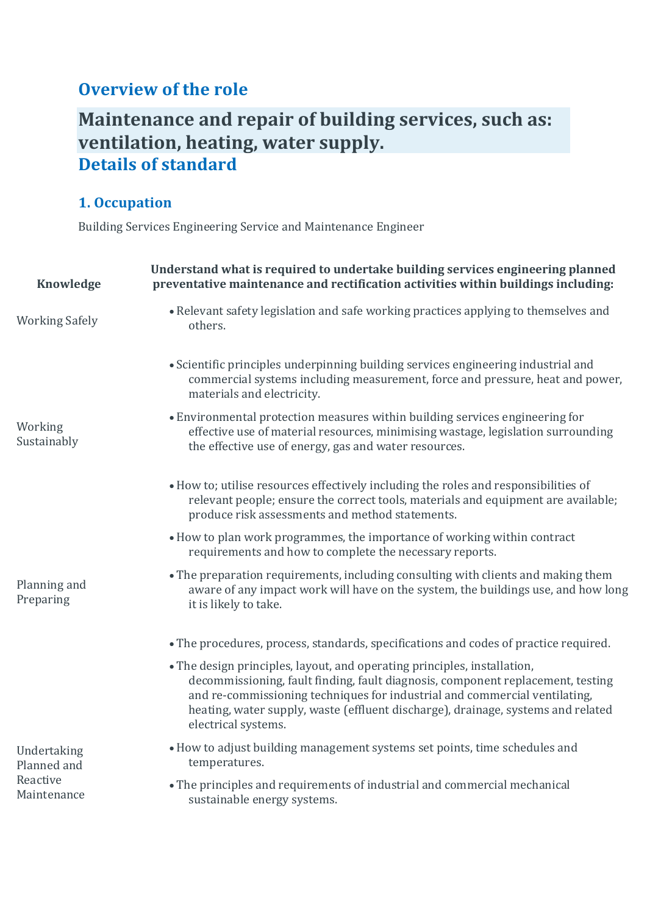## **Overview of the role**

# **Maintenance and repair of building services, such as: ventilation, heating, water supply. Details of standard**

## **1. Occupation**

Building Services Engineering Service and Maintenance Engineer

| <b>Knowledge</b>                                      | Understand what is required to undertake building services engineering planned<br>preventative maintenance and rectification activities within buildings including:                                                                                                                                                                                  |
|-------------------------------------------------------|------------------------------------------------------------------------------------------------------------------------------------------------------------------------------------------------------------------------------------------------------------------------------------------------------------------------------------------------------|
| <b>Working Safely</b>                                 | • Relevant safety legislation and safe working practices applying to themselves and<br>others.                                                                                                                                                                                                                                                       |
|                                                       | • Scientific principles underpinning building services engineering industrial and<br>commercial systems including measurement, force and pressure, heat and power,<br>materials and electricity.                                                                                                                                                     |
| Working<br>Sustainably                                | • Environmental protection measures within building services engineering for<br>effective use of material resources, minimising wastage, legislation surrounding<br>the effective use of energy, gas and water resources.                                                                                                                            |
|                                                       | • How to; utilise resources effectively including the roles and responsibilities of<br>relevant people; ensure the correct tools, materials and equipment are available;<br>produce risk assessments and method statements.                                                                                                                          |
|                                                       | • How to plan work programmes, the importance of working within contract<br>requirements and how to complete the necessary reports.                                                                                                                                                                                                                  |
| Planning and<br>Preparing                             | • The preparation requirements, including consulting with clients and making them<br>aware of any impact work will have on the system, the buildings use, and how long<br>it is likely to take.                                                                                                                                                      |
|                                                       | • The procedures, process, standards, specifications and codes of practice required.                                                                                                                                                                                                                                                                 |
|                                                       | • The design principles, layout, and operating principles, installation,<br>decommissioning, fault finding, fault diagnosis, component replacement, testing<br>and re-commissioning techniques for industrial and commercial ventilating,<br>heating, water supply, waste (effluent discharge), drainage, systems and related<br>electrical systems. |
| Undertaking<br>Planned and<br>Reactive<br>Maintenance | • How to adjust building management systems set points, time schedules and<br>temperatures.                                                                                                                                                                                                                                                          |
|                                                       | • The principles and requirements of industrial and commercial mechanical<br>sustainable energy systems.                                                                                                                                                                                                                                             |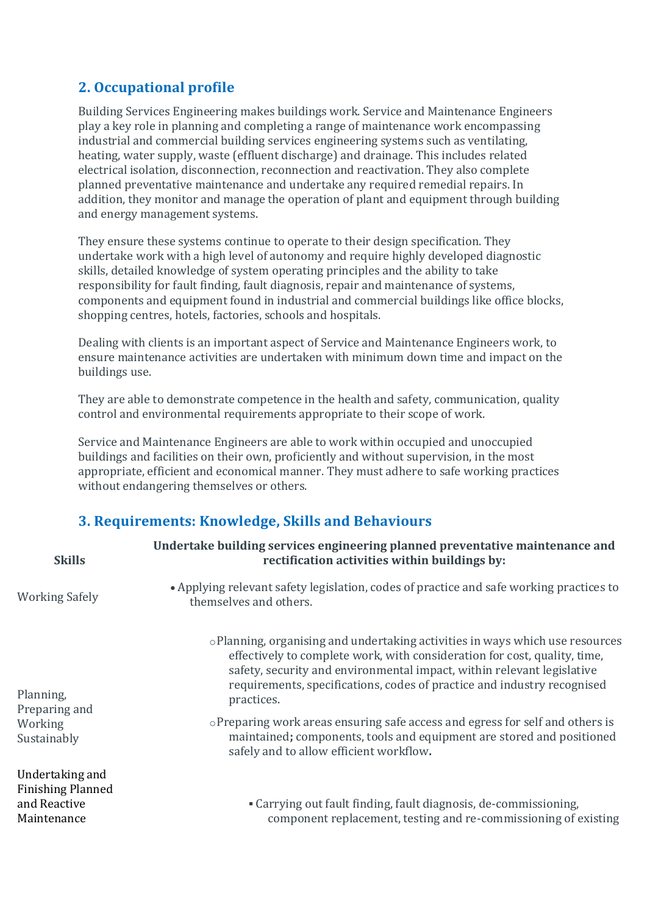### **2. Occupational profile**

Building Services Engineering makes buildings work. Service and Maintenance Engineers play a key role in planning and completing a range of maintenance work encompassing industrial and commercial building services engineering systems such as ventilating, heating, water supply, waste (effluent discharge) and drainage. This includes related electrical isolation, disconnection, reconnection and reactivation. They also complete planned preventative maintenance and undertake any required remedial repairs. In addition, they monitor and manage the operation of plant and equipment through building and energy management systems.

They ensure these systems continue to operate to their design specification. They undertake work with a high level of autonomy and require highly developed diagnostic skills, detailed knowledge of system operating principles and the ability to take responsibility for fault finding, fault diagnosis, repair and maintenance of systems, components and equipment found in industrial and commercial buildings like office blocks, shopping centres, hotels, factories, schools and hospitals.

Dealing with clients is an important aspect of Service and Maintenance Engineers work, to ensure maintenance activities are undertaken with minimum down time and impact on the buildings use.

They are able to demonstrate competence in the health and safety, communication, quality control and environmental requirements appropriate to their scope of work.

Service and Maintenance Engineers are able to work within occupied and unoccupied buildings and facilities on their own, proficiently and without supervision, in the most appropriate, efficient and economical manner. They must adhere to safe working practices without endangering themselves or others.

### **3. Requirements: Knowledge, Skills and Behaviours**

| <b>Skills</b>                                                              | Undertake building services engineering planned preventative maintenance and<br>rectification activities within buildings by:                                                                                                                                                                                                                                                                                       |
|----------------------------------------------------------------------------|---------------------------------------------------------------------------------------------------------------------------------------------------------------------------------------------------------------------------------------------------------------------------------------------------------------------------------------------------------------------------------------------------------------------|
| <b>Working Safely</b>                                                      | • Applying relevant safety legislation, codes of practice and safe working practices to<br>themselves and others.                                                                                                                                                                                                                                                                                                   |
| Planning,<br>Preparing and<br>Working                                      | $\circ$ Planning, organising and undertaking activities in ways which use resources<br>effectively to complete work, with consideration for cost, quality, time,<br>safety, security and environmental impact, within relevant legislative<br>requirements, specifications, codes of practice and industry recognised<br>practices.<br>oPreparing work areas ensuring safe access and egress for self and others is |
| Sustainably                                                                | maintained; components, tools and equipment are stored and positioned<br>safely and to allow efficient workflow.                                                                                                                                                                                                                                                                                                    |
| Undertaking and<br><b>Finishing Planned</b><br>and Reactive<br>Maintenance | • Carrying out fault finding, fault diagnosis, de-commissioning,<br>component replacement, testing and re-commissioning of existing                                                                                                                                                                                                                                                                                 |
|                                                                            |                                                                                                                                                                                                                                                                                                                                                                                                                     |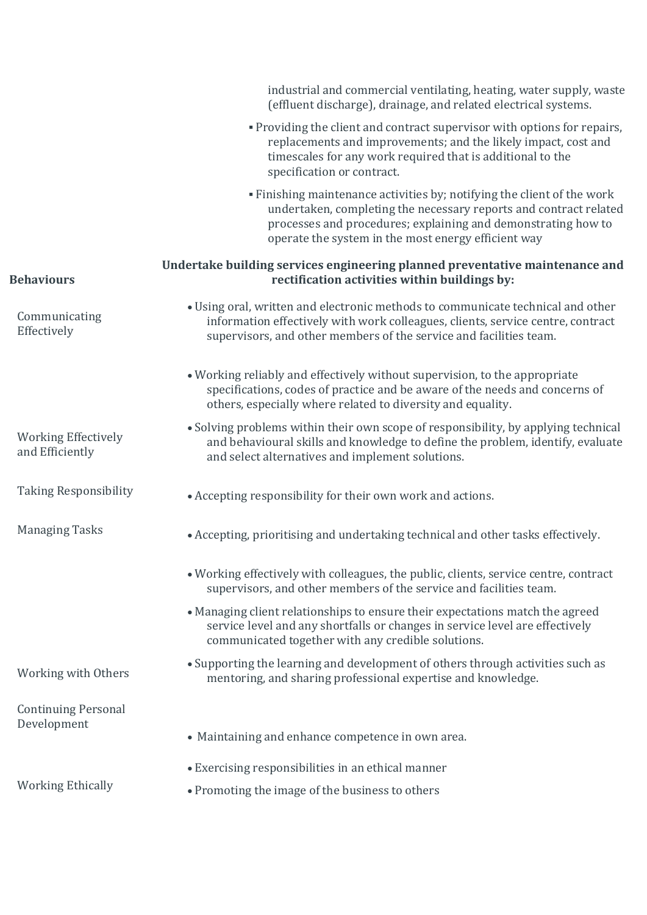|                                               | industrial and commercial ventilating, heating, water supply, waste<br>(effluent discharge), drainage, and related electrical systems.                                                                                                                               |
|-----------------------------------------------|----------------------------------------------------------------------------------------------------------------------------------------------------------------------------------------------------------------------------------------------------------------------|
|                                               | . Providing the client and contract supervisor with options for repairs,<br>replacements and improvements; and the likely impact, cost and<br>timescales for any work required that is additional to the<br>specification or contract.                               |
|                                               | • Finishing maintenance activities by; notifying the client of the work<br>undertaken, completing the necessary reports and contract related<br>processes and procedures; explaining and demonstrating how to<br>operate the system in the most energy efficient way |
| <b>Behaviours</b>                             | Undertake building services engineering planned preventative maintenance and<br>rectification activities within buildings by:                                                                                                                                        |
| Communicating<br>Effectively                  | · Using oral, written and electronic methods to communicate technical and other<br>information effectively with work colleagues, clients, service centre, contract<br>supervisors, and other members of the service and facilities team.                             |
|                                               | • Working reliably and effectively without supervision, to the appropriate<br>specifications, codes of practice and be aware of the needs and concerns of<br>others, especially where related to diversity and equality.                                             |
| <b>Working Effectively</b><br>and Efficiently | • Solving problems within their own scope of responsibility, by applying technical<br>and behavioural skills and knowledge to define the problem, identify, evaluate<br>and select alternatives and implement solutions.                                             |
| <b>Taking Responsibility</b>                  | • Accepting responsibility for their own work and actions.                                                                                                                                                                                                           |
| <b>Managing Tasks</b>                         | • Accepting, prioritising and undertaking technical and other tasks effectively.                                                                                                                                                                                     |
|                                               | • Working effectively with colleagues, the public, clients, service centre, contract<br>supervisors, and other members of the service and facilities team.                                                                                                           |
|                                               | • Managing client relationships to ensure their expectations match the agreed<br>service level and any shortfalls or changes in service level are effectively<br>communicated together with any credible solutions.                                                  |
| Working with Others                           | • Supporting the learning and development of others through activities such as<br>mentoring, and sharing professional expertise and knowledge.                                                                                                                       |
| <b>Continuing Personal</b><br>Development     | • Maintaining and enhance competence in own area.                                                                                                                                                                                                                    |
|                                               | • Exercising responsibilities in an ethical manner                                                                                                                                                                                                                   |
| <b>Working Ethically</b>                      | • Promoting the image of the business to others                                                                                                                                                                                                                      |
|                                               |                                                                                                                                                                                                                                                                      |